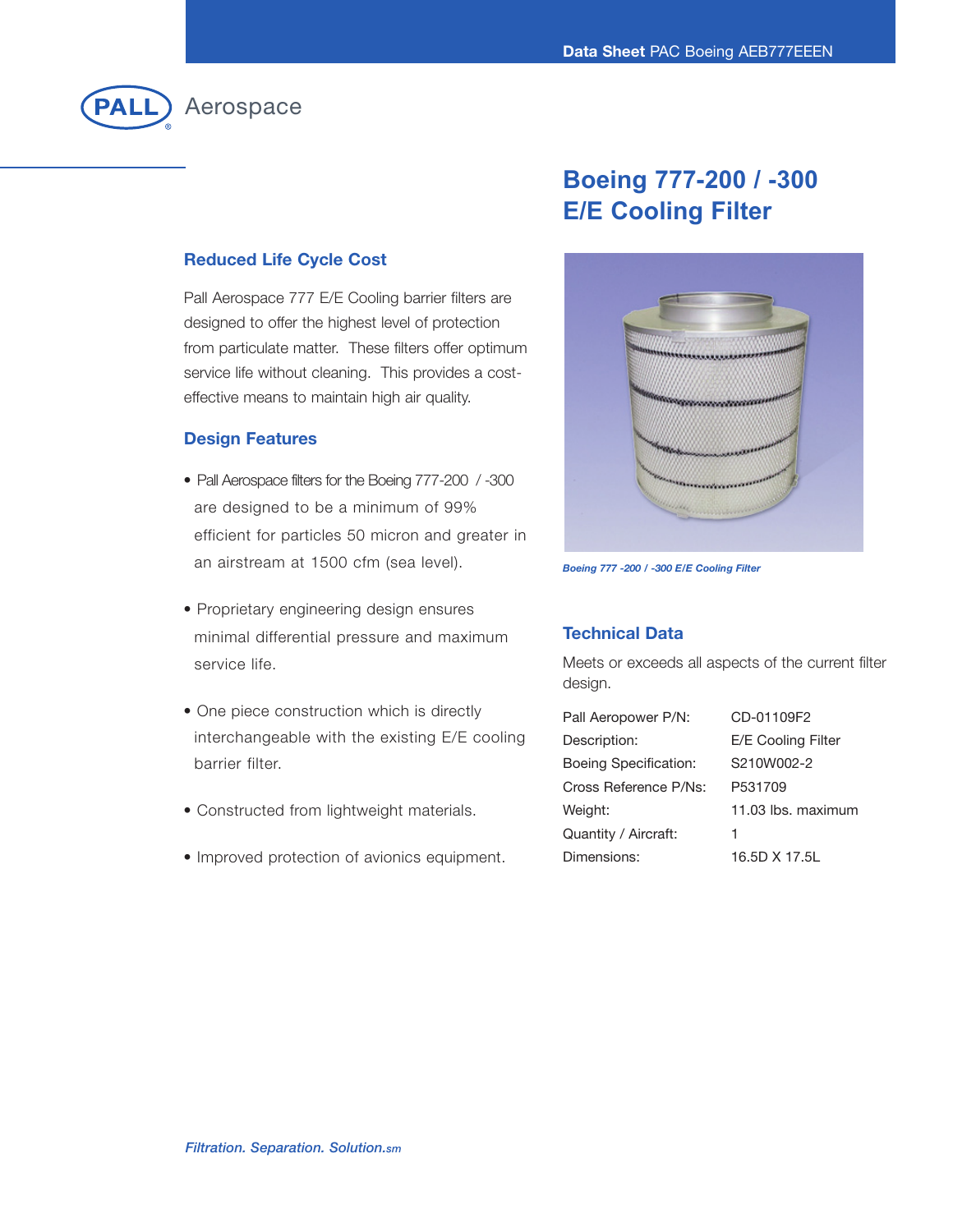

## **Boeing Present Professor E/E Cooling Filter**

## **Reduced Life Cycle Cost**

Pall Aerospace 777 E/E Cooling barrier filters are designed to offer the highest level of protection from particulate matter. These filters offer optimum service life without cleaning. This provides a costeffective means to maintain high air quality.

### **Design Features**

- Pall Aerospace filters for the Boeing 777-200 / -300 are designed to be a minimum of 99% efficient for particles 50 micron and greater in an airstream at 1500 cfm (sea level).
- Proprietary engineering design ensures minimal differential pressure and maximum service life.
- One piece construction which is directly interchangeable with the existing E/E cooling barrier filter.
- Constructed from lightweight materials.
- Improved protection of avionics equipment.



*Boeing 777 -200 / -300 E/E Cooling Filter*

## **Technical Data**

Meets or exceeds all aspects of the current filter design.

| Pall Aeropower P/N:          | CD-01109F2         |
|------------------------------|--------------------|
| Description:                 | E/E Cooling Filter |
| <b>Boeing Specification:</b> | S210W002-2         |
| Cross Reference P/Ns:        | P531709            |
| Weight:                      | 11.03 lbs. maximum |
| Quantity / Aircraft:         | 1                  |
| Dimensions:                  | 16.5D X 17.5L      |
|                              |                    |